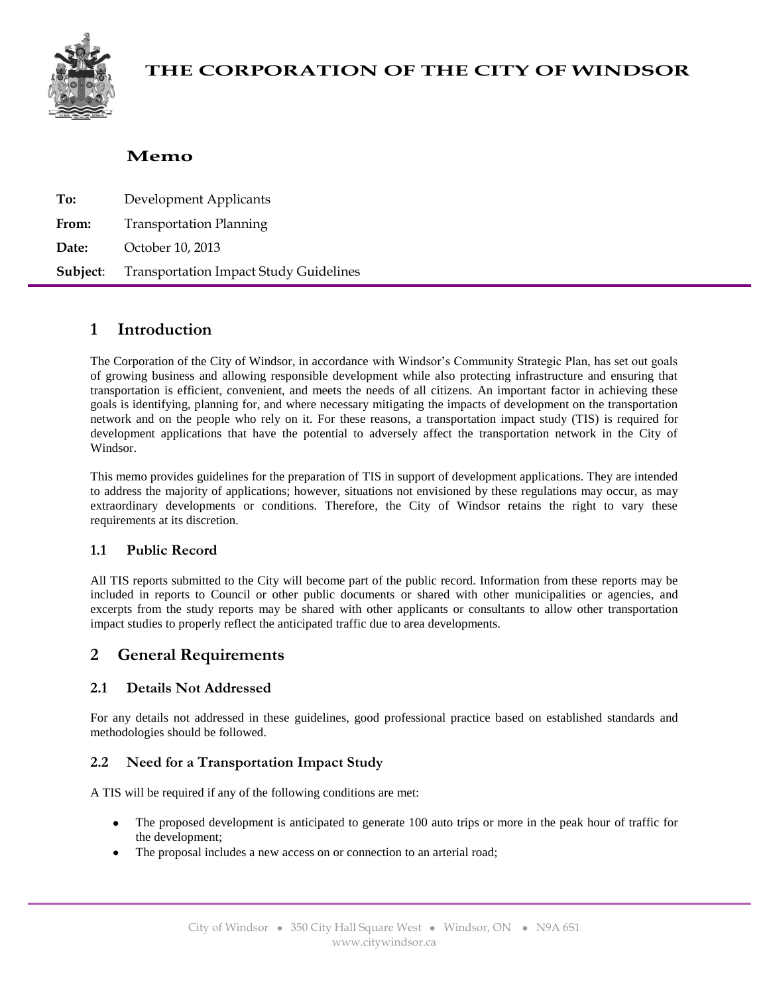

# **THE CORPORATION OF THE CITY OF WINDSOR**

# **Memo**

| To:   | Development Applicants                                 |  |  |  |  |
|-------|--------------------------------------------------------|--|--|--|--|
| From: | <b>Transportation Planning</b>                         |  |  |  |  |
| Date: | October 10, 2013                                       |  |  |  |  |
|       | <b>Subject:</b> Transportation Impact Study Guidelines |  |  |  |  |

## **1 Introduction**

The Corporation of the City of Windsor, in accordance with Windsor's Community Strategic Plan, has set out goals of growing business and allowing responsible development while also protecting infrastructure and ensuring that transportation is efficient, convenient, and meets the needs of all citizens. An important factor in achieving these goals is identifying, planning for, and where necessary mitigating the impacts of development on the transportation network and on the people who rely on it. For these reasons, a transportation impact study (TIS) is required for development applications that have the potential to adversely affect the transportation network in the City of Windsor.

This memo provides guidelines for the preparation of TIS in support of development applications. They are intended to address the majority of applications; however, situations not envisioned by these regulations may occur, as may extraordinary developments or conditions. Therefore, the City of Windsor retains the right to vary these requirements at its discretion.

## **1.1 Public Record**

All TIS reports submitted to the City will become part of the public record. Information from these reports may be included in reports to Council or other public documents or shared with other municipalities or agencies, and excerpts from the study reports may be shared with other applicants or consultants to allow other transportation impact studies to properly reflect the anticipated traffic due to area developments.

# **2 General Requirements**

## **2.1 Details Not Addressed**

For any details not addressed in these guidelines, good professional practice based on established standards and methodologies should be followed.

## **2.2 Need for a Transportation Impact Study**

A TIS will be required if any of the following conditions are met:

- The proposed development is anticipated to generate 100 auto trips or more in the peak hour of traffic for the development;
- The proposal includes a new access on or connection to an arterial road;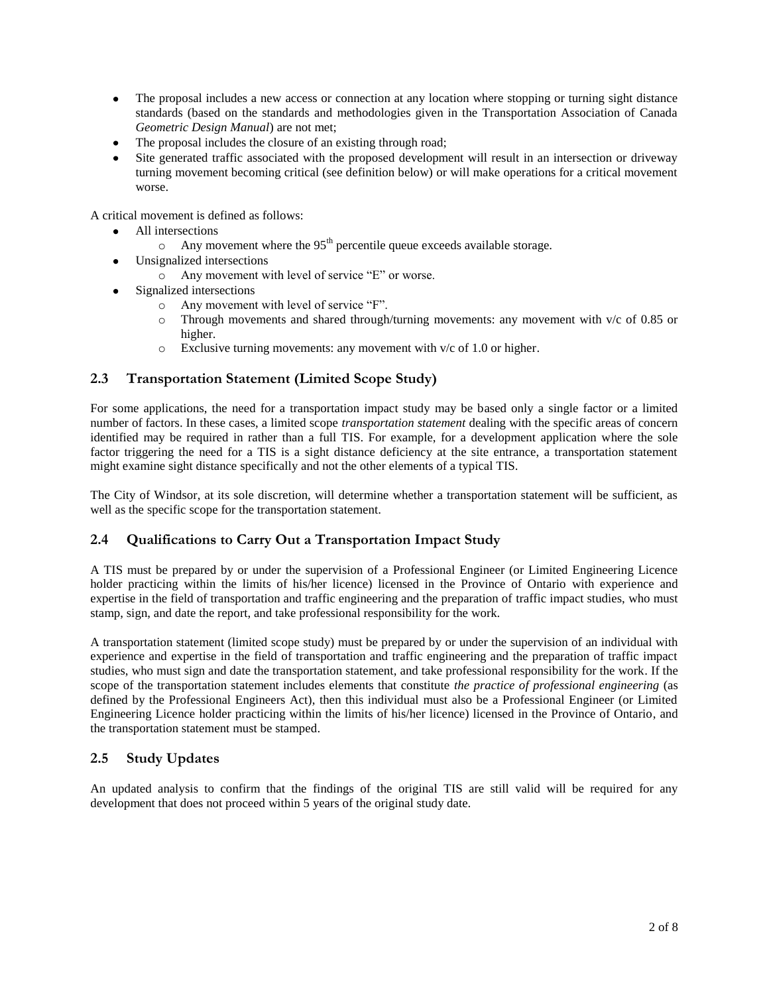- $\bullet$ The proposal includes a new access or connection at any location where stopping or turning sight distance standards (based on the standards and methodologies given in the Transportation Association of Canada *Geometric Design Manual*) are not met;
- The proposal includes the closure of an existing through road;
- Site generated traffic associated with the proposed development will result in an intersection or driveway turning movement becoming critical (see definition below) or will make operations for a critical movement worse.

A critical movement is defined as follows:

- All intersections
	- o Any movement where the  $95<sup>th</sup>$  percentile queue exceeds available storage.
- Unsignalized intersections
	- o Any movement with level of service "E" or worse.
- Signalized intersections
	- o Any movement with level of service "F".
	- $\circ$  Through movements and shared through/turning movements: any movement with v/c of 0.85 or higher.
	- $\circ$  Exclusive turning movements: any movement with v/c of 1.0 or higher.

## **2.3 Transportation Statement (Limited Scope Study)**

For some applications, the need for a transportation impact study may be based only a single factor or a limited number of factors. In these cases, a limited scope *transportation statement* dealing with the specific areas of concern identified may be required in rather than a full TIS. For example, for a development application where the sole factor triggering the need for a TIS is a sight distance deficiency at the site entrance, a transportation statement might examine sight distance specifically and not the other elements of a typical TIS.

The City of Windsor, at its sole discretion, will determine whether a transportation statement will be sufficient, as well as the specific scope for the transportation statement.

## **2.4 Qualifications to Carry Out a Transportation Impact Study**

A TIS must be prepared by or under the supervision of a Professional Engineer (or Limited Engineering Licence holder practicing within the limits of his/her licence) licensed in the Province of Ontario with experience and expertise in the field of transportation and traffic engineering and the preparation of traffic impact studies, who must stamp, sign, and date the report, and take professional responsibility for the work.

A transportation statement (limited scope study) must be prepared by or under the supervision of an individual with experience and expertise in the field of transportation and traffic engineering and the preparation of traffic impact studies, who must sign and date the transportation statement, and take professional responsibility for the work. If the scope of the transportation statement includes elements that constitute *the practice of professional engineering* (as defined by the Professional Engineers Act), then this individual must also be a Professional Engineer (or Limited Engineering Licence holder practicing within the limits of his/her licence) licensed in the Province of Ontario, and the transportation statement must be stamped.

## **2.5 Study Updates**

An updated analysis to confirm that the findings of the original TIS are still valid will be required for any development that does not proceed within 5 years of the original study date.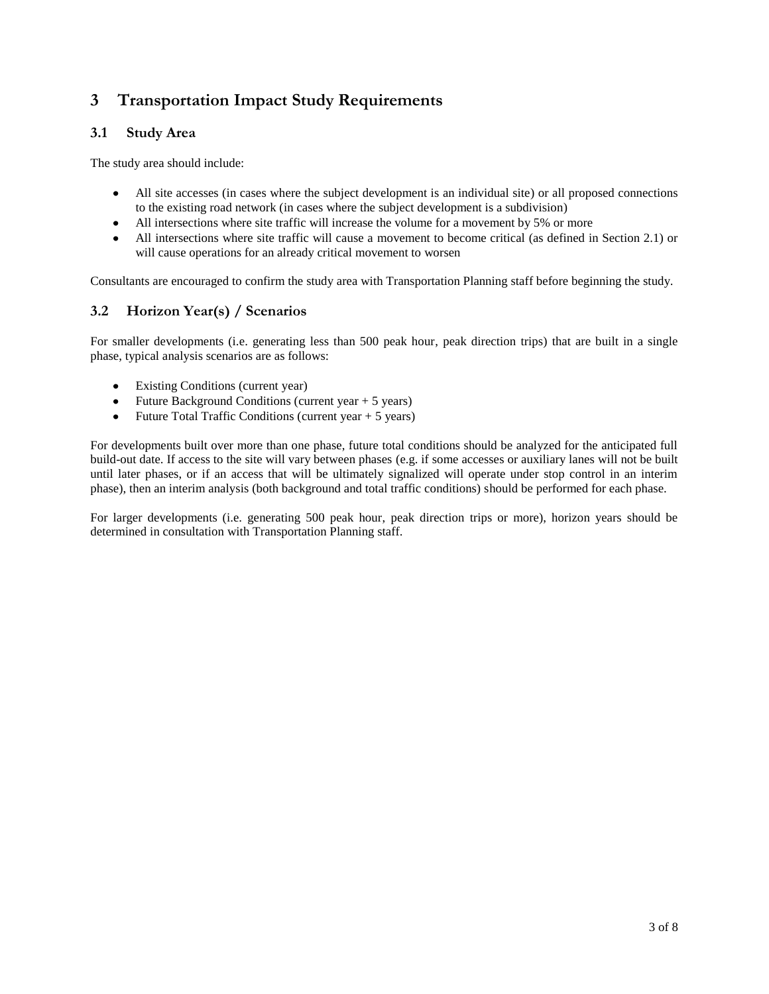# **3 Transportation Impact Study Requirements**

## **3.1 Study Area**

The study area should include:

- All site accesses (in cases where the subject development is an individual site) or all proposed connections  $\bullet$ to the existing road network (in cases where the subject development is a subdivision)
- All intersections where site traffic will increase the volume for a movement by 5% or more
- All intersections where site traffic will cause a movement to become critical (as defined in Section 2.1) or will cause operations for an already critical movement to worsen

Consultants are encouraged to confirm the study area with Transportation Planning staff before beginning the study.

## **3.2 Horizon Year(s) / Scenarios**

For smaller developments (i.e. generating less than 500 peak hour, peak direction trips) that are built in a single phase, typical analysis scenarios are as follows:

- Existing Conditions (current year)
- Future Background Conditions (current year  $+ 5$  years)  $\bullet$
- Future Total Traffic Conditions (current year + 5 years)  $\bullet$

For developments built over more than one phase, future total conditions should be analyzed for the anticipated full build-out date. If access to the site will vary between phases (e.g. if some accesses or auxiliary lanes will not be built until later phases, or if an access that will be ultimately signalized will operate under stop control in an interim phase), then an interim analysis (both background and total traffic conditions) should be performed for each phase.

For larger developments (i.e. generating 500 peak hour, peak direction trips or more), horizon years should be determined in consultation with Transportation Planning staff.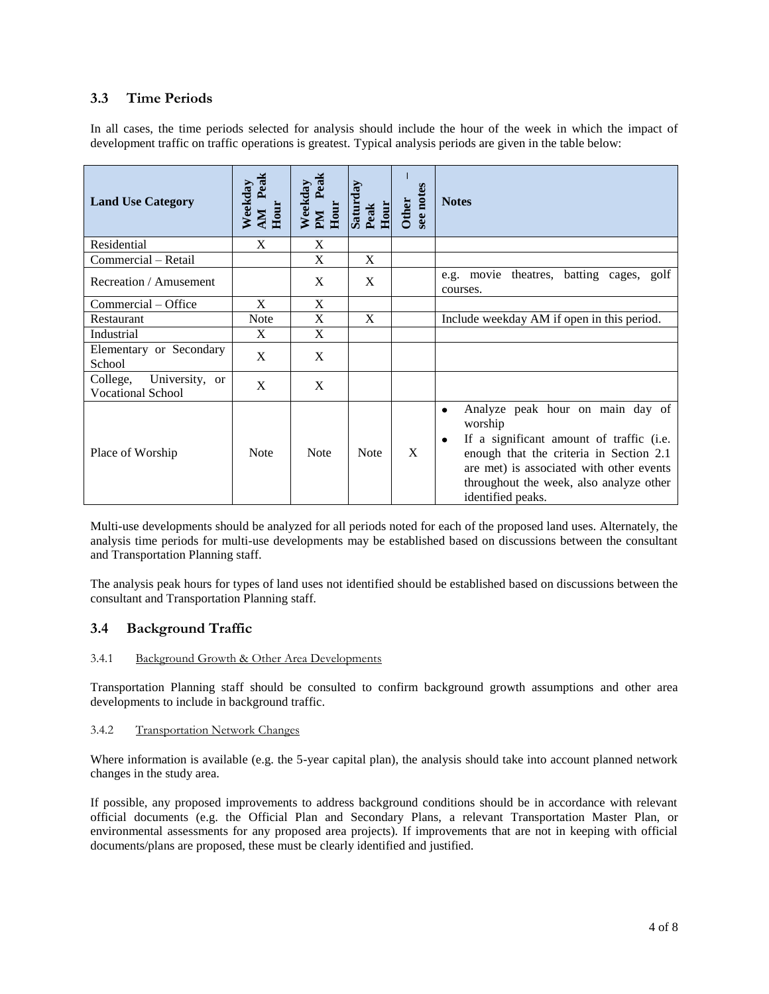## **3.3 Time Periods**

In all cases, the time periods selected for analysis should include the hour of the week in which the impact of development traffic on traffic operations is greatest. Typical analysis periods are given in the table below:

| <b>Land Use Category</b>                               | AM Peak<br>Weekday<br>Hour | Peak<br>Weekday<br>Hour<br><b>Nd</b> | Saturday<br>Peak<br>Hour | see notes<br><b>Other</b> | <b>Notes</b>                                                                                                                                                                                                                                                     |
|--------------------------------------------------------|----------------------------|--------------------------------------|--------------------------|---------------------------|------------------------------------------------------------------------------------------------------------------------------------------------------------------------------------------------------------------------------------------------------------------|
| Residential                                            | X                          | X                                    |                          |                           |                                                                                                                                                                                                                                                                  |
| Commercial - Retail                                    |                            | X                                    | X                        |                           |                                                                                                                                                                                                                                                                  |
| Recreation / Amusement                                 |                            | X                                    | X                        |                           | e.g. movie theatres, batting cages, golf<br>courses.                                                                                                                                                                                                             |
| Commercial - Office                                    | $\mathbf{X}$               | X                                    |                          |                           |                                                                                                                                                                                                                                                                  |
| Restaurant                                             | <b>Note</b>                | X                                    | X                        |                           | Include weekday AM if open in this period.                                                                                                                                                                                                                       |
| Industrial                                             | X                          | X                                    |                          |                           |                                                                                                                                                                                                                                                                  |
| Elementary or Secondary<br>School                      | X                          | X                                    |                          |                           |                                                                                                                                                                                                                                                                  |
| University, or<br>College,<br><b>Vocational School</b> | X                          | X                                    |                          |                           |                                                                                                                                                                                                                                                                  |
| Place of Worship                                       | <b>Note</b>                | <b>Note</b>                          | <b>Note</b>              | X                         | Analyze peak hour on main day of<br>$\bullet$<br>worship<br>If a significant amount of traffic (i.e.<br>٠<br>enough that the criteria in Section 2.1<br>are met) is associated with other events<br>throughout the week, also analyze other<br>identified peaks. |

Multi-use developments should be analyzed for all periods noted for each of the proposed land uses. Alternately, the analysis time periods for multi-use developments may be established based on discussions between the consultant and Transportation Planning staff.

The analysis peak hours for types of land uses not identified should be established based on discussions between the consultant and Transportation Planning staff.

## **3.4 Background Traffic**

#### 3.4.1 Background Growth & Other Area Developments

Transportation Planning staff should be consulted to confirm background growth assumptions and other area developments to include in background traffic.

#### 3.4.2 Transportation Network Changes

Where information is available (e.g. the 5-year capital plan), the analysis should take into account planned network changes in the study area.

If possible, any proposed improvements to address background conditions should be in accordance with relevant official documents (e.g. the Official Plan and Secondary Plans, a relevant Transportation Master Plan, or environmental assessments for any proposed area projects). If improvements that are not in keeping with official documents/plans are proposed, these must be clearly identified and justified.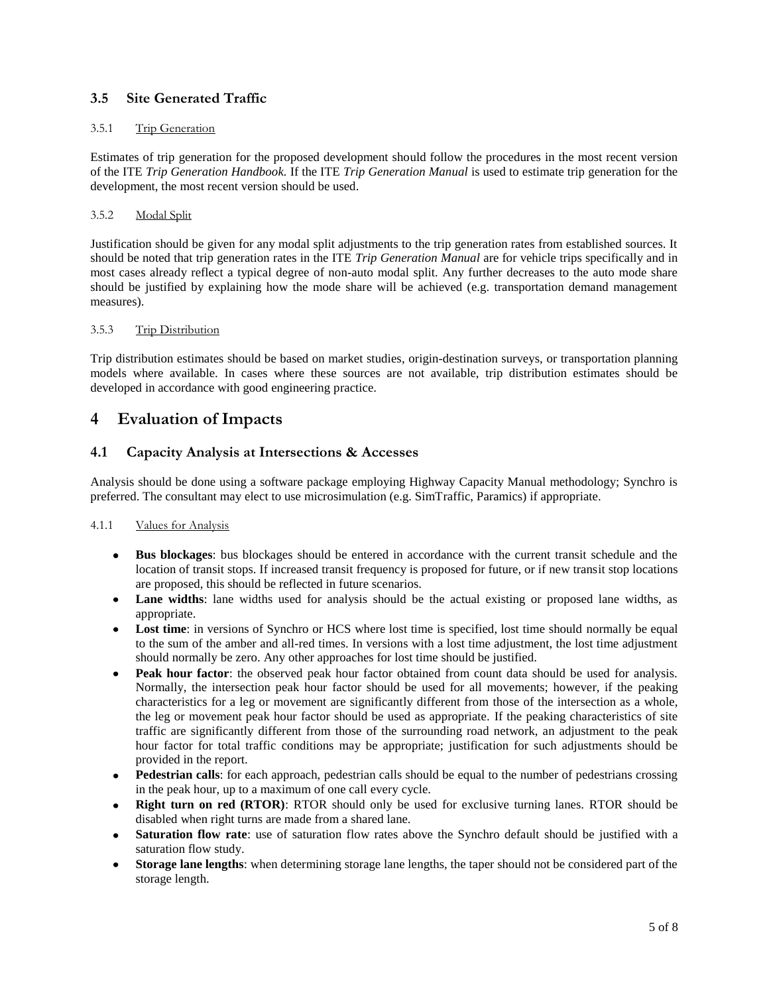## **3.5 Site Generated Traffic**

#### 3.5.1 Trip Generation

Estimates of trip generation for the proposed development should follow the procedures in the most recent version of the ITE *Trip Generation Handbook.* If the ITE *Trip Generation Manual* is used to estimate trip generation for the development, the most recent version should be used.

#### 3.5.2 Modal Split

Justification should be given for any modal split adjustments to the trip generation rates from established sources. It should be noted that trip generation rates in the ITE *Trip Generation Manual* are for vehicle trips specifically and in most cases already reflect a typical degree of non-auto modal split. Any further decreases to the auto mode share should be justified by explaining how the mode share will be achieved (e.g. transportation demand management measures).

#### 3.5.3 Trip Distribution

Trip distribution estimates should be based on market studies, origin-destination surveys, or transportation planning models where available. In cases where these sources are not available, trip distribution estimates should be developed in accordance with good engineering practice.

## **4 Evaluation of Impacts**

### **4.1 Capacity Analysis at Intersections & Accesses**

Analysis should be done using a software package employing Highway Capacity Manual methodology; Synchro is preferred. The consultant may elect to use microsimulation (e.g. SimTraffic, Paramics) if appropriate.

#### 4.1.1 Values for Analysis

- **Bus blockages**: bus blockages should be entered in accordance with the current transit schedule and the  $\bullet$ location of transit stops. If increased transit frequency is proposed for future, or if new transit stop locations are proposed, this should be reflected in future scenarios.
- Lane widths: lane widths used for analysis should be the actual existing or proposed lane widths, as appropriate.
- Lost time: in versions of Synchro or HCS where lost time is specified, lost time should normally be equal to the sum of the amber and all-red times. In versions with a lost time adjustment, the lost time adjustment should normally be zero. Any other approaches for lost time should be justified.
- **Peak hour factor**: the observed peak hour factor obtained from count data should be used for analysis. Normally, the intersection peak hour factor should be used for all movements; however, if the peaking characteristics for a leg or movement are significantly different from those of the intersection as a whole, the leg or movement peak hour factor should be used as appropriate. If the peaking characteristics of site traffic are significantly different from those of the surrounding road network, an adjustment to the peak hour factor for total traffic conditions may be appropriate; justification for such adjustments should be provided in the report.
- **Pedestrian calls**: for each approach, pedestrian calls should be equal to the number of pedestrians crossing in the peak hour, up to a maximum of one call every cycle.
- **Right turn on red (RTOR)**: RTOR should only be used for exclusive turning lanes. RTOR should be disabled when right turns are made from a shared lane.
- **Saturation flow rate**: use of saturation flow rates above the Synchro default should be justified with a  $\bullet$ saturation flow study.
- **Storage lane lengths**: when determining storage lane lengths, the taper should not be considered part of the storage length.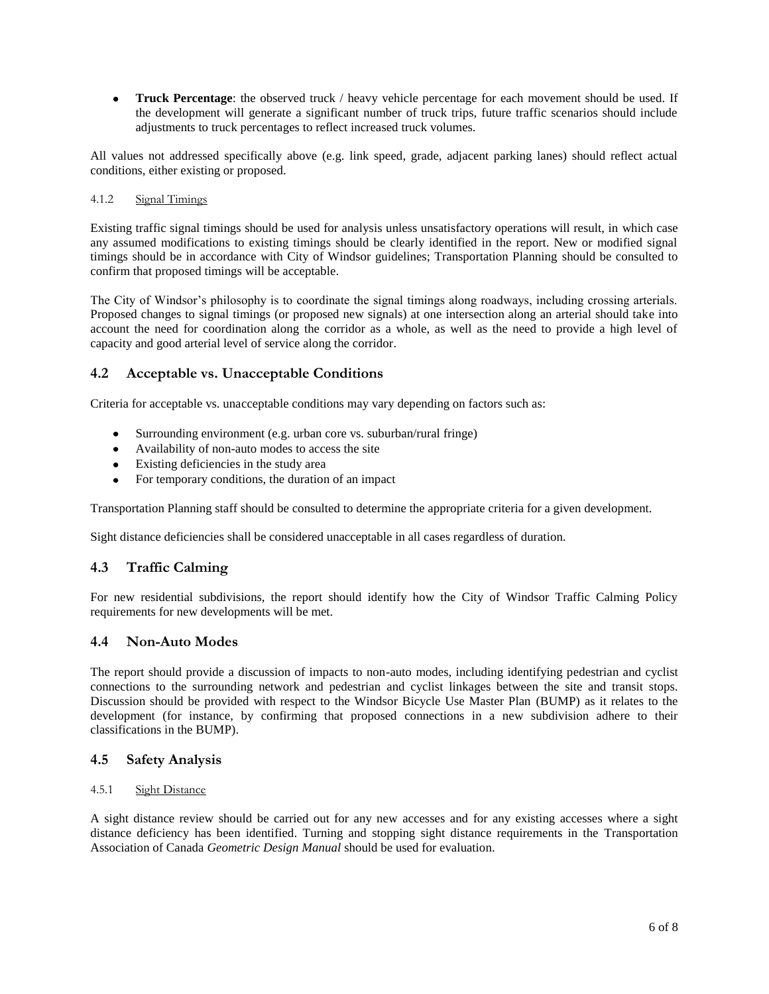$\bullet$ **Truck Percentage**: the observed truck / heavy vehicle percentage for each movement should be used. If the development will generate a significant number of truck trips, future traffic scenarios should include adjustments to truck percentages to reflect increased truck volumes.

All values not addressed specifically above (e.g. link speed, grade, adjacent parking lanes) should reflect actual conditions, either existing or proposed.

#### 4.1.2 Signal Timings

Existing traffic signal timings should be used for analysis unless unsatisfactory operations will result, in which case any assumed modifications to existing timings should be clearly identified in the report. New or modified signal timings should be in accordance with City of Windsor guidelines; Transportation Planning should be consulted to confirm that proposed timings will be acceptable.

The City of Windsor's philosophy is to coordinate the signal timings along roadways, including crossing arterials. Proposed changes to signal timings (or proposed new signals) at one intersection along an arterial should take into account the need for coordination along the corridor as a whole, as well as the need to provide a high level of capacity and good arterial level of service along the corridor.

## **4.2 Acceptable vs. Unacceptable Conditions**

Criteria for acceptable vs. unacceptable conditions may vary depending on factors such as:

- Surrounding environment (e.g. urban core vs. suburban/rural fringe)
- Availability of non-auto modes to access the site
- Existing deficiencies in the study area
- For temporary conditions, the duration of an impact

Transportation Planning staff should be consulted to determine the appropriate criteria for a given development.

Sight distance deficiencies shall be considered unacceptable in all cases regardless of duration.

## **4.3 Traffic Calming**

For new residential subdivisions, the report should identify how the City of Windsor Traffic Calming Policy requirements for new developments will be met.

#### **4.4 Non-Auto Modes**

The report should provide a discussion of impacts to non-auto modes, including identifying pedestrian and cyclist connections to the surrounding network and pedestrian and cyclist linkages between the site and transit stops. Discussion should be provided with respect to the Windsor Bicycle Use Master Plan (BUMP) as it relates to the development (for instance, by confirming that proposed connections in a new subdivision adhere to their classifications in the BUMP).

#### **4.5 Safety Analysis**

#### 4.5.1 Sight Distance

A sight distance review should be carried out for any new accesses and for any existing accesses where a sight distance deficiency has been identified. Turning and stopping sight distance requirements in the Transportation Association of Canada *Geometric Design Manual* should be used for evaluation.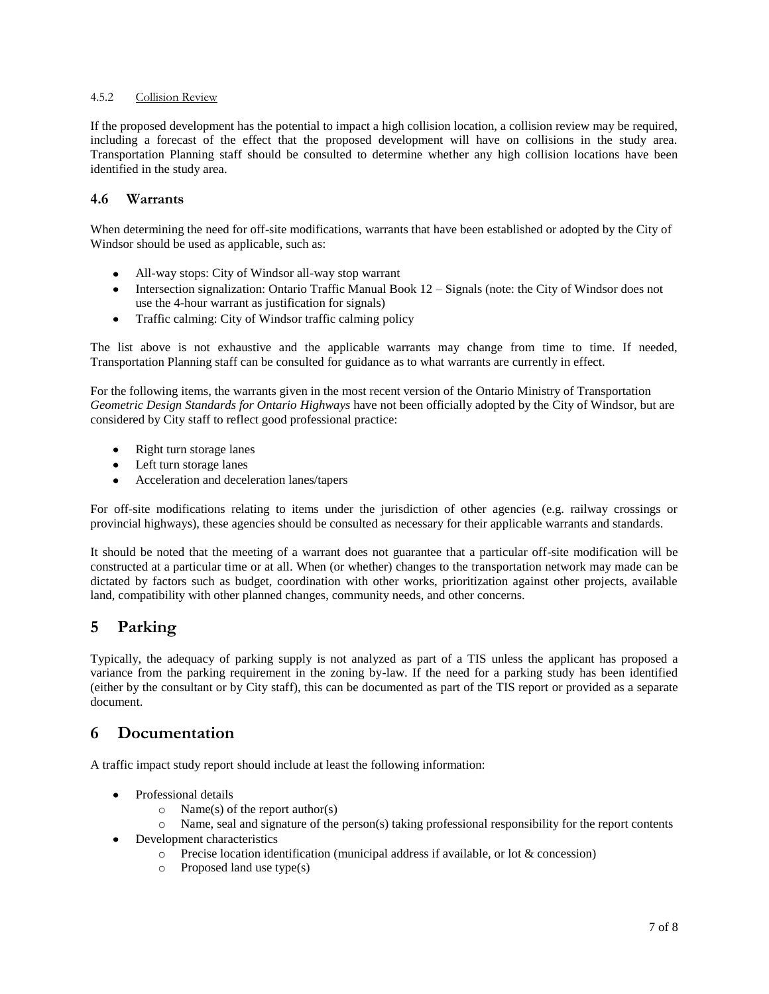## 4.5.2 Collision Review

If the proposed development has the potential to impact a high collision location, a collision review may be required, including a forecast of the effect that the proposed development will have on collisions in the study area. Transportation Planning staff should be consulted to determine whether any high collision locations have been identified in the study area.

## **4.6 Warrants**

When determining the need for off-site modifications, warrants that have been established or adopted by the City of Windsor should be used as applicable, such as:

- All-way stops: City of Windsor all-way stop warrant  $\bullet$
- Intersection signalization: Ontario Traffic Manual Book 12 Signals (note: the City of Windsor does not  $\bullet$ use the 4-hour warrant as justification for signals)
- $\bullet$ Traffic calming: City of Windsor traffic calming policy

The list above is not exhaustive and the applicable warrants may change from time to time. If needed, Transportation Planning staff can be consulted for guidance as to what warrants are currently in effect.

For the following items, the warrants given in the most recent version of the Ontario Ministry of Transportation *Geometric Design Standards for Ontario Highways* have not been officially adopted by the City of Windsor, but are considered by City staff to reflect good professional practice:

- $\bullet$ Right turn storage lanes
- Left turn storage lanes
- Acceleration and deceleration lanes/tapers  $\bullet$

For off-site modifications relating to items under the jurisdiction of other agencies (e.g. railway crossings or provincial highways), these agencies should be consulted as necessary for their applicable warrants and standards.

It should be noted that the meeting of a warrant does not guarantee that a particular off-site modification will be constructed at a particular time or at all. When (or whether) changes to the transportation network may made can be dictated by factors such as budget, coordination with other works, prioritization against other projects, available land, compatibility with other planned changes, community needs, and other concerns.

## **5 Parking**

Typically, the adequacy of parking supply is not analyzed as part of a TIS unless the applicant has proposed a variance from the parking requirement in the zoning by-law. If the need for a parking study has been identified (either by the consultant or by City staff), this can be documented as part of the TIS report or provided as a separate document.

# **6 Documentation**

A traffic impact study report should include at least the following information:

- Professional details
	- $\circ$  Name(s) of the report author(s)
	- $\circ$  Name, seal and signature of the person(s) taking professional responsibility for the report contents
- Development characteristics  $\bullet$ 
	- $\circ$  Precise location identification (municipal address if available, or lot & concession)
	- o Proposed land use type(s)